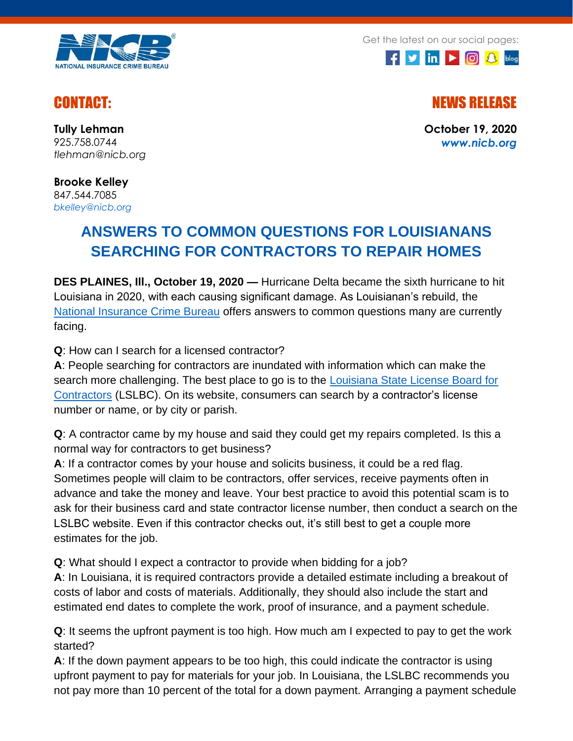

Get the latest on our social pages:



CONTACT: NEWS RELEASE

**October 19, 2020** *[www.nicb.org](http://www.nicb.org/)*

**Tully Lehman** 925.758.0744 *tlehman@nicb.org*

**Brooke Kelley** 847.544.7085 *[bkelley@nicb.org](mailto:bkelley@nicb.org)*

## **ANSWERS TO COMMON QUESTIONS FOR LOUISIANANS SEARCHING FOR CONTRACTORS TO REPAIR HOMES**

**DES PLAINES, Ill., October 19, 2020 —** Hurricane Delta became the sixth hurricane to hit Louisiana in 2020, with each causing significant damage. As Louisianan's rebuild, the [National Insurance Crime Bureau](http://www.nicb.org/) offers answers to common questions many are currently facing.

## **Q**: How can I search for a licensed contractor?

**A**: People searching for contractors are inundated with information which can make the search more challenging. The best place to go is to the [Louisiana State License Board for](http://www.lslbc.louisiana.gov/)  [Contractors](http://www.lslbc.louisiana.gov/) (LSLBC). On its website, consumers can search by a contractor's license number or name, or by city or parish.

**Q**: A contractor came by my house and said they could get my repairs completed. Is this a normal way for contractors to get business?

**A**: If a contractor comes by your house and solicits business, it could be a red flag. Sometimes people will claim to be contractors, offer services, receive payments often in advance and take the money and leave. Your best practice to avoid this potential scam is to ask for their business card and state contractor license number, then conduct a search on the LSLBC website. Even if this contractor checks out, it's still best to get a couple more estimates for the job.

**Q**: What should I expect a contractor to provide when bidding for a job?

**A**: In Louisiana, it is required contractors provide a detailed estimate including a breakout of costs of labor and costs of materials. Additionally, they should also include the start and estimated end dates to complete the work, proof of insurance, and a payment schedule.

**Q**: It seems the upfront payment is too high. How much am I expected to pay to get the work started?

**A**: If the down payment appears to be too high, this could indicate the contractor is using upfront payment to pay for materials for your job. In Louisiana, the LSLBC recommends you not pay more than 10 percent of the total for a down payment. Arranging a payment schedule